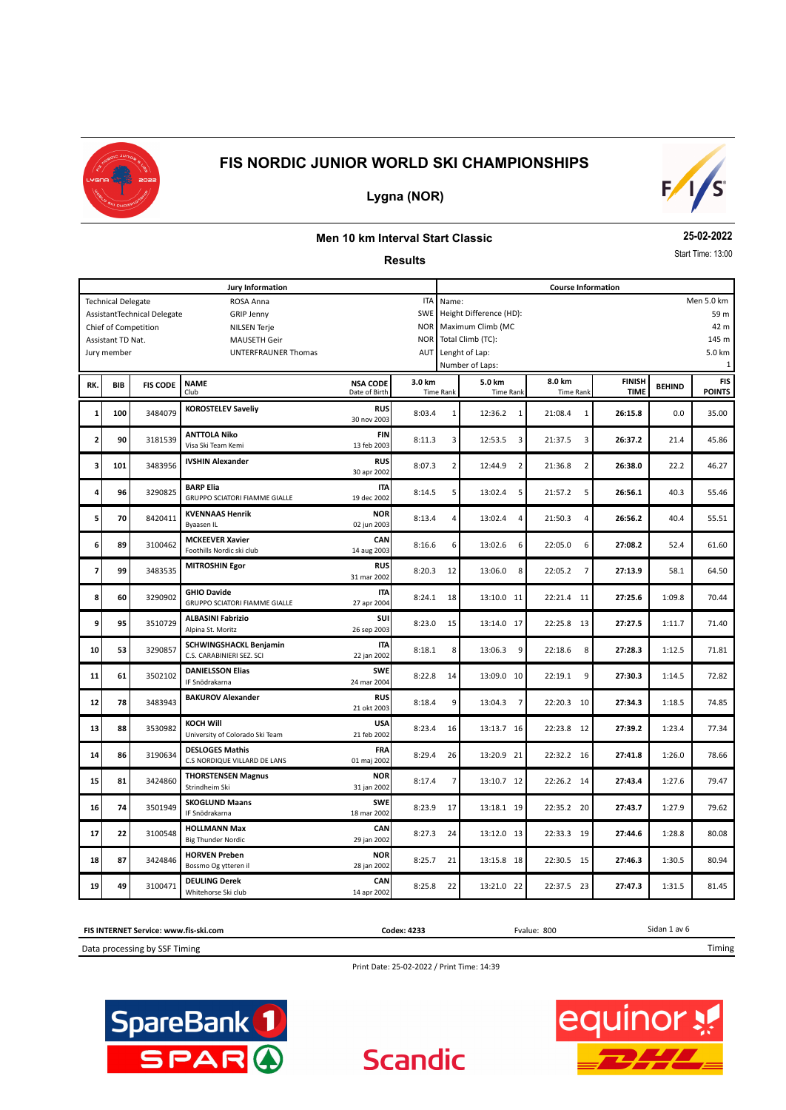



## **Lygna (NOR)**

#### **Men 10 km Interval Start Classic**

**Results**

**25-02-2022**

Start Time: 13:00

|     |                                  |                             | Jury Information                                           |                                  |                          |                                         |                           | <b>Course Information</b> |             |               |                 |  |  |
|-----|----------------------------------|-----------------------------|------------------------------------------------------------|----------------------------------|--------------------------|-----------------------------------------|---------------------------|---------------------------|-------------|---------------|-----------------|--|--|
|     | <b>Technical Delegate</b>        |                             | ROSA Anna                                                  |                                  | <b>ITA</b>               | Name:                                   |                           |                           |             |               | Men 5.0 km      |  |  |
|     |                                  | AssistantTechnical Delegate | <b>GRIP Jenny</b>                                          |                                  | SWE                      | Height Difference (HD):<br>59 m<br>42 m |                           |                           |             |               |                 |  |  |
|     |                                  | Chief of Competition        | <b>NILSEN Terje</b>                                        |                                  | <b>NOR</b><br><b>NOR</b> | Maximum Climb (MC<br>Total Climb (TC):  |                           |                           |             |               |                 |  |  |
|     | Assistant TD Nat.<br>Jury member |                             | <b>MAUSETH Geir</b><br>UNTERFRAUNER Thomas                 |                                  | AUT                      |                                         | Lenght of Lap:            |                           |             |               | 145 m<br>5.0 km |  |  |
|     |                                  |                             |                                                            |                                  |                          |                                         | Number of Laps:           |                           |             |               | -1              |  |  |
|     | <b>BIB</b>                       | <b>FIS CODE</b>             | <b>NAME</b>                                                | 3.0 km                           |                          | 5.0 km                                  | 8.0 km                    | <b>FINISH</b>             |             | <b>FIS</b>    |                 |  |  |
| RK. |                                  |                             | Club                                                       | <b>NSA CODE</b><br>Date of Birth |                          | <b>Time Rank</b>                        | <b>Time Rank</b>          | <b>Time Rank</b>          | <b>TIME</b> | <b>BEHIND</b> | <b>POINTS</b>   |  |  |
| 1   | 100                              | 3484079                     | <b>KOROSTELEV Saveliy</b>                                  | <b>RUS</b><br>30 nov 2003        | 8:03.4                   | $\mathbf 1$                             | 12:36.2<br>1              | 21:08.4<br>$\mathbf 1$    | 26:15.8     | 0.0           | 35.00           |  |  |
| 2   | 90                               | 3181539                     | <b>ANTTOLA Niko</b><br>Visa Ski Team Kemi                  | <b>FIN</b><br>13 feb 2003        | 8:11.3                   | 3                                       | 12:53.5<br>3              | 21:37.5<br>3              | 26:37.2     | 21.4          | 45.86           |  |  |
| з   | 101                              | 3483956                     | <b>IVSHIN Alexander</b>                                    | <b>RUS</b><br>30 apr 2002        | 8:07.3                   | 2                                       | 12:44.9<br>$\overline{2}$ | $\overline{2}$<br>21:36.8 | 26:38.0     | 22.2          | 46.27           |  |  |
| 4   | 96                               | 3290825                     | <b>BARP Elia</b><br><b>GRUPPO SCIATORI FIAMME GIALLE</b>   | <b>ITA</b><br>19 dec 2002        | 8:14.5                   | 5                                       | 13:02.4<br>5              | 21:57.2<br>5              | 26:56.1     | 40.3          | 55.46           |  |  |
| 5   | 70                               | 8420411                     | <b>KVENNAAS Henrik</b><br>Byaasen IL                       | <b>NOR</b><br>02 jun 2003        | 8:13.4                   | 4                                       | 13:02.4<br>4              | 21:50.3<br>4              | 26:56.2     | 40.4          | 55.51           |  |  |
| 6   | 89                               | 3100462                     | <b>MCKEEVER Xavier</b><br>Foothills Nordic ski club        | CAN<br>14 aug 2003               | 8:16.6                   | 6                                       | 6<br>13:02.6              | 6<br>22:05.0              | 27:08.2     | 52.4          | 61.60           |  |  |
| 7   | 99                               | 3483535                     | <b>MITROSHIN Egor</b>                                      | <b>RUS</b><br>31 mar 2002        | 8:20.3                   | 12                                      | 13:06.0<br>8              | 22:05.2<br>$\overline{7}$ | 27:13.9     | 58.1          | 64.50           |  |  |
| 8   | 60                               | 3290902                     | <b>GHIO Davide</b><br><b>GRUPPO SCIATORI FIAMME GIALLE</b> | <b>ITA</b><br>27 apr 2004        | 8:24.1                   | 18                                      | 13:10.0 11                | 22:21.4<br>11             | 27:25.6     | 1:09.8        | 70.44           |  |  |
| 9   | 95                               | 3510729                     | <b>ALBASINI Fabrizio</b><br>Alpina St. Moritz              | SUI<br>26 sep 2003               | 8:23.0                   | 15                                      | 13:14.0 17                | 22:25.8<br>13             | 27:27.5     | 1:11.7        | 71.40           |  |  |
| 10  | 53                               | 3290857                     | <b>SCHWINGSHACKL Benjamin</b><br>C.S. CARABINIERI SEZ. SCI | <b>ITA</b><br>22 jan 2002        | 8:18.1                   | 8                                       | 13:06.3<br>9              | 8<br>22:18.6              | 27:28.3     | 1:12.5        | 71.81           |  |  |
| 11  | 61                               | 3502102                     | <b>DANIELSSON Elias</b><br>IF Snödrakarna                  | <b>SWE</b><br>24 mar 2004        | 8:22.8                   | 14                                      | 13:09.0 10                | 22:19.1<br>9              | 27:30.3     | 1:14.5        | 72.82           |  |  |
| 12  | 78                               | 3483943                     | <b>BAKUROV Alexander</b>                                   | <b>RUS</b><br>21 okt 2003        | 8:18.4                   | 9                                       | 13:04.3<br>7              | 22:20.3<br>10             | 27:34.3     | 1:18.5        | 74.85           |  |  |
| 13  | 88                               | 3530982                     | <b>KOCH Will</b><br>University of Colorado Ski Team        | <b>USA</b><br>21 feb 2002        | 8:23.4                   | 16                                      | 13:13.7 16                | 22:23.8<br>12             | 27:39.2     | 1:23.4        | 77.34           |  |  |
| 14  | 86                               | 3190634                     | <b>DESLOGES Mathis</b><br>C.S NORDIQUE VILLARD DE LANS     | <b>FRA</b><br>01 maj 2002        | 8:29.4                   | 26                                      | 13:20.9 21                | 22:32.2 16                | 27:41.8     | 1:26.0        | 78.66           |  |  |
| 15  | 81                               | 3424860                     | <b>THORSTENSEN Magnus</b><br>Strindheim Ski                | <b>NOR</b><br>31 jan 2002        | 8:17.4                   | 7                                       | 13:10.7 12                | 22:26.2 14                | 27:43.4     | 1:27.6        | 79.47           |  |  |
| 16  | 74                               | 3501949                     | <b>SKOGLUND Maans</b><br>IF Snödrakarna                    | <b>SWE</b><br>18 mar 2002        | 8:23.9                   | 17                                      | 13:18.1 19                | 22:35.2 20                | 27:43.7     | 1:27.9        | 79.62           |  |  |
| 17  | 22                               | 3100548                     | <b>HOLLMANN Max</b><br><b>Big Thunder Nordic</b>           | CAN<br>29 jan 2002               | 8:27.3                   | 24                                      | 13:12.0 13                | 22:33.3<br>19             | 27:44.6     | 1:28.8        | 80.08           |  |  |
| 18  | 87                               | 3424846                     | <b>HORVEN Preben</b><br>Bossmo Og ytteren il               | <b>NOR</b><br>28 jan 2002        | 8:25.7                   | 21                                      | 13:15.8 18                | 22:30.5<br>15             | 27:46.3     | 1:30.5        | 80.94           |  |  |
| 19  | 49                               | 3100471                     | <b>DEULING Derek</b><br>Whitehorse Ski club                | CAN<br>14 apr 2002               | 8:25.8                   | 22                                      | 13:21.0 22                | 22:37.5<br>23             | 27:47.3     | 1:31.5        | 81.45           |  |  |



Print Date: 25-02-2022 / Print Time: 14:39

**Scandic** 



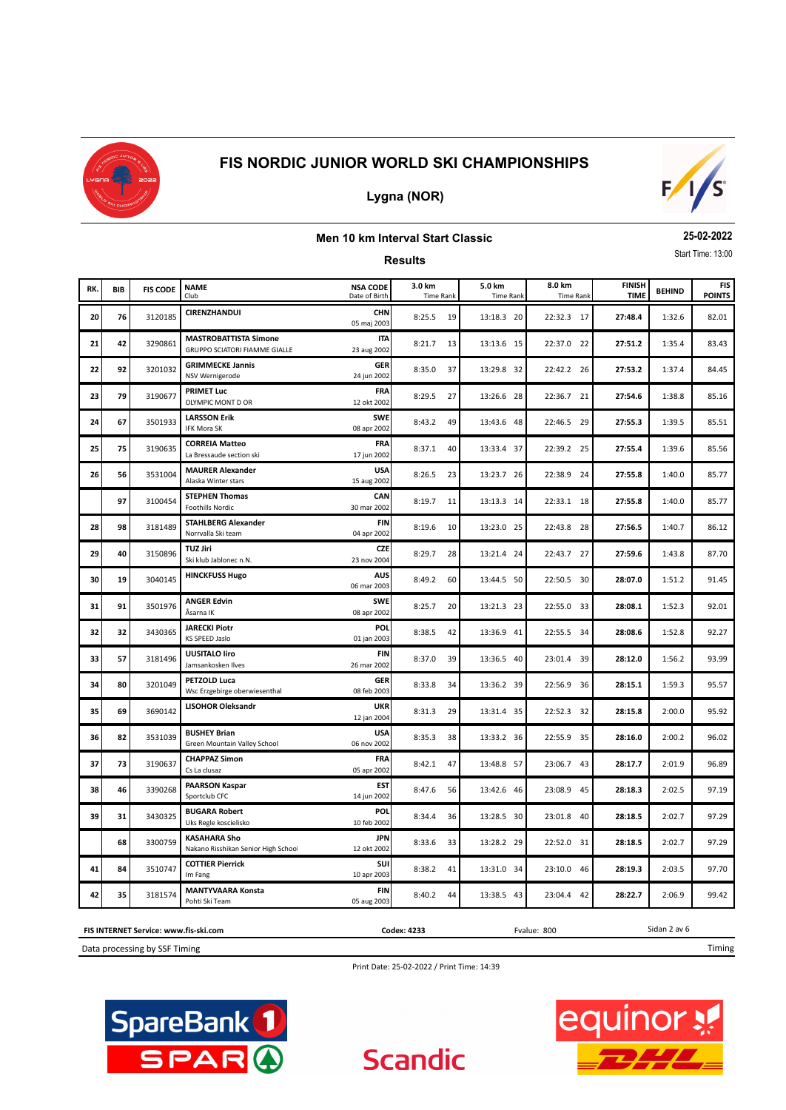

#### **Lygna (NOR)**



#### **Men 10 km Interval Start Classic**

**Results**

**25-02-2022** Start Time: 13:00

| RK. | BIB | <b>FIS CODE</b> | <b>NAME</b><br>Club                                           | <b>NSA CODE</b><br>Date of Birth | 3.0 km<br><b>Time Rank</b> | 5.0 km<br><b>Time Rank</b> | 8.0 km<br><b>Time Rank</b> | <b>FINISH</b><br><b>TIME</b> | <b>BEHIND</b> | <b>FIS</b><br><b>POINTS</b> |
|-----|-----|-----------------|---------------------------------------------------------------|----------------------------------|----------------------------|----------------------------|----------------------------|------------------------------|---------------|-----------------------------|
| 20  | 76  | 3120185         | CIRENZHANDUI                                                  | <b>CHN</b><br>05 maj 2003        | 8:25.5<br>19               | 13:18.3 20                 | 22:32.3 17                 | 27:48.4                      | 1:32.6        | 82.01                       |
| 21  | 42  | 3290861         | <b>MASTROBATTISTA Simone</b><br>GRUPPO SCIATORI FIAMME GIALLE | <b>ITA</b><br>23 aug 2002        | 8:21.7<br>13               | 13:13.6 15                 | 22:37.0 22                 | 27:51.2                      | 1:35.4        | 83.43                       |
| 22  | 92  | 3201032         | <b>GRIMMECKE Jannis</b><br>NSV Wernigerode                    | GER<br>24 jun 2002               | 8:35.0<br>37               | 13:29.8 32                 | 22:42.2 26                 | 27:53.2                      | 1:37.4        | 84.45                       |
| 23  | 79  | 3190677         | <b>PRIMET Luc</b><br>OLYMPIC MONT D OR                        | FRA<br>12 okt 2002               | 8:29.5<br>27               | 13:26.6 28                 | 22:36.7 21                 | 27:54.6                      | 1:38.8        | 85.16                       |
| 24  | 67  | 3501933         | <b>LARSSON Erik</b><br><b>IFK Mora SK</b>                     | <b>SWE</b><br>08 apr 2002        | 8:43.2<br>49               | 13:43.6 48                 | 22:46.5 29                 | 27:55.3                      | 1:39.5        | 85.51                       |
| 25  | 75  | 3190635         | <b>CORREIA Matteo</b><br>La Bressaude section ski             | <b>FRA</b><br>17 jun 2002        | 8:37.1<br>40               | 13:33.4 37                 | 22:39.2 25                 | 27:55.4                      | 1:39.6        | 85.56                       |
| 26  | 56  | 3531004         | <b>MAURER Alexander</b><br>Alaska Winter stars                | <b>USA</b><br>15 aug 2002        | 8:26.5<br>23               | 13:23.7 26                 | 22:38.9 24                 | 27:55.8                      | 1:40.0        | 85.77                       |
|     | 97  | 3100454         | <b>STEPHEN Thomas</b><br><b>Foothills Nordic</b>              | CAN<br>30 mar 2002               | 8:19.7<br>11               | 13:13.3 14                 | 22:33.1 18                 | 27:55.8                      | 1:40.0        | 85.77                       |
| 28  | 98  | 3181489         | <b>STAHLBERG Alexander</b><br>Norrvalla Ski team              | <b>FIN</b><br>04 apr 2002        | 8:19.6<br>10               | 13:23.0 25                 | 22:43.8 28                 | 27:56.5                      | 1:40.7        | 86.12                       |
| 29  | 40  | 3150896         | <b>TUZ Jiri</b><br>Ski klub Jablonec n.N.                     | <b>CZE</b><br>23 nov 2004        | 8:29.7<br>28               | 13:21.4 24                 | 22:43.7 27                 | 27:59.6                      | 1:43.8        | 87.70                       |
| 30  | 19  | 3040145         | <b>HINCKFUSS Hugo</b>                                         | <b>AUS</b><br>06 mar 2003        | 8:49.2<br>60               | 13:44.5 50                 | 22:50.5 30                 | 28:07.0                      | 1:51.2        | 91.45                       |
| 31  | 91  | 3501976         | <b>ANGER Edvin</b><br>Åsarna IK                               | <b>SWE</b><br>08 apr 2002        | 8:25.7<br>20               | 13:21.3 23                 | 22:55.0 33                 | 28:08.1                      | 1:52.3        | 92.01                       |
| 32  | 32  | 3430365         | <b>JARECKI Piotr</b><br><b>KS SPEED Jaslo</b>                 | POL<br>01 jan 2003               | 8:38.5<br>42               | 13:36.9 41                 | 22:55.5 34                 | 28:08.6                      | 1:52.8        | 92.27                       |
| 33  | 57  | 3181496         | UUSITALO liro<br>Jamsankosken Ilves                           | <b>FIN</b><br>26 mar 2002        | 8:37.0<br>39               | 13:36.5 40                 | 23:01.4 39                 | 28:12.0                      | 1:56.2        | 93.99                       |
| 34  | 80  | 3201049         | PETZOLD Luca<br>Wsc Erzgebirge oberwiesenthal                 | <b>GER</b><br>08 feb 2003        | 8:33.8<br>34               | 13:36.2 39                 | 22:56.9 36                 | 28:15.1                      | 1:59.3        | 95.57                       |
| 35  | 69  | 3690142         | <b>LISOHOR Oleksandr</b>                                      | <b>UKR</b><br>12 jan 2004        | 8:31.3<br>29               | 13:31.4 35                 | 22:52.3 32                 | 28:15.8                      | 2:00.0        | 95.92                       |
| 36  | 82  | 3531039         | <b>BUSHEY Brian</b><br>Green Mountain Valley School           | <b>USA</b><br>06 nov 2002        | 8:35.3<br>38               | 13:33.2 36                 | 22:55.9 35                 | 28:16.0                      | 2:00.2        | 96.02                       |
| 37  | 73  | 3190637         | <b>CHAPPAZ Simon</b><br>Cs La clusaz                          | FRA<br>05 apr 2002               | 8:42.1<br>47               | 13:48.8 57                 | 23:06.7 43                 | 28:17.7                      | 2:01.9        | 96.89                       |
| 38  | 46  | 3390268         | <b>PAARSON Kaspar</b><br>Sportclub CFC                        | <b>EST</b><br>14 jun 2002        | 8:47.6<br>56               | 13:42.6 46                 | 23:08.9 45                 | 28:18.3                      | 2:02.5        | 97.19                       |
| 39  | 31  | 3430325         | <b>BUGARA Robert</b><br>Uks Regle koscielisko                 | POL<br>10 feb 2002               | 8:34.4<br>36               | 13:28.5 30                 | 23:01.8 40                 | 28:18.5                      | 2:02.7        | 97.29                       |
|     | 68  | 3300759         | <b>KASAHARA Sho</b><br>Nakano Risshikan Senior High Schoo     | <b>JPN</b><br>12 okt 2002        | 8:33.6<br>33               | 13:28.2 29                 | 22:52.0 31                 | 28:18.5                      | 2:02.7        | 97.29                       |
| 41  | 84  | 3510747         | <b>COTTIER Pierrick</b><br>Im Fang                            | SUI<br>10 apr 2003               | 8:38.2<br>41               | 13:31.0 34                 | 23:10.0 46                 | 28:19.3                      | 2:03.5        | 97.70                       |
| 42  | 35  | 3181574         | <b>MANTYVAARA Konsta</b><br>Pohti Ski Team                    | <b>FIN</b><br>05 aug 2003        | 8:40.2<br>44               | 13:38.5 43                 | 23:04.4 42                 | 28:22.7                      | 2:06.9        | 99.42                       |

**FIS INTERNET Service: www.fis-ski.com**

Data processing by SSF Timing

Print Date: 25-02-2022 / Print Time: 14:39

**Scandic** 

**Codex: 4233** Fvalue: 800





Sidan 2 av 6

Timing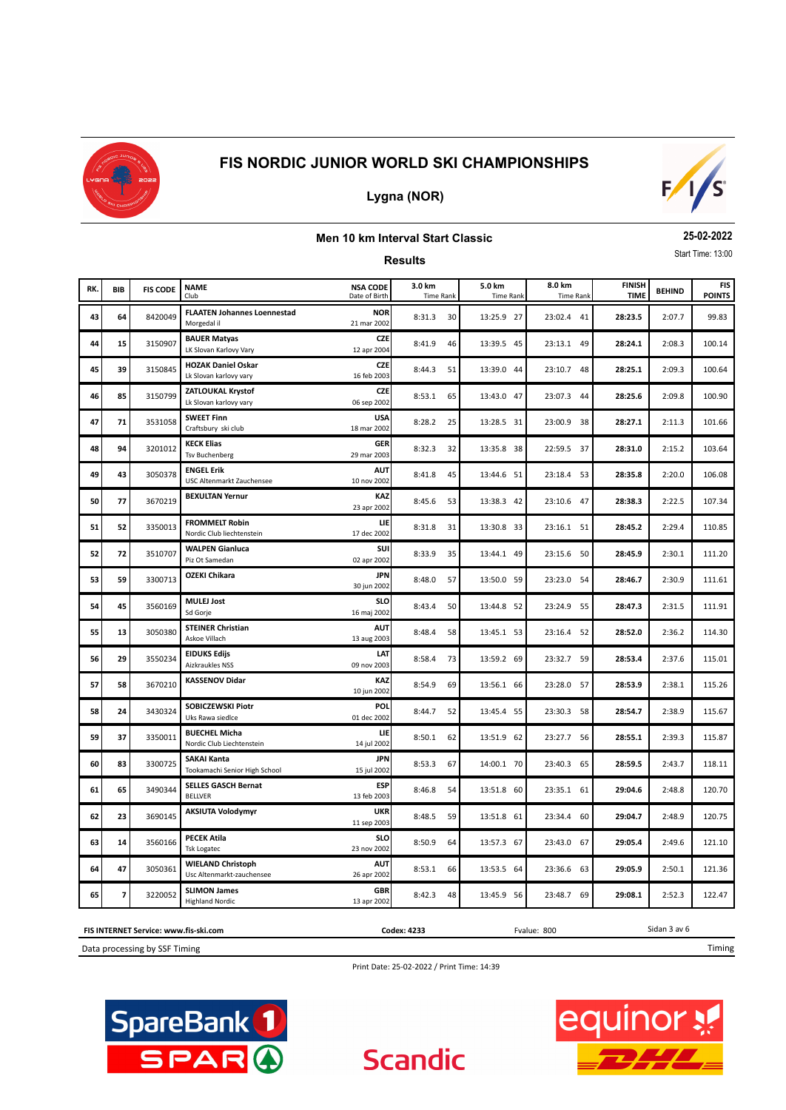

## **Lygna (NOR)**



#### **Men 10 km Interval Start Classic**

**Results**

**25-02-2022** Start Time: 13:00

| RK. | <b>BIB</b>              | <b>FIS CODE</b> | <b>NAME</b><br>Club                                   | <b>NSA CODE</b><br>Date of Birth | 3.0 km<br><b>Time Rank</b> | 5.0 km<br><b>Time Rank</b> | 8.0 km<br><b>Time Rank</b> | <b>FINISH</b><br><b>TIME</b> | <b>BEHIND</b> | <b>FIS</b><br><b>POINTS</b> |
|-----|-------------------------|-----------------|-------------------------------------------------------|----------------------------------|----------------------------|----------------------------|----------------------------|------------------------------|---------------|-----------------------------|
| 43  | 64                      | 8420049         | <b>FLAATEN Johannes Loennestad</b><br>Morgedal il     | <b>NOR</b><br>21 mar 2002        | 8:31.3<br>30               | 13:25.9 27                 | 23:02.4 41                 | 28:23.5                      | 2:07.7        | 99.83                       |
| 44  | 15                      | 3150907         | <b>BAUER Matyas</b><br>LK Slovan Karlovy Vary         | CZE<br>12 apr 2004               | 8:41.9<br>46               | 13:39.5 45                 | 23:13.1 49                 | 28:24.1                      | 2:08.3        | 100.14                      |
| 45  | 39                      | 3150845         | <b>HOZAK Daniel Oskar</b><br>Lk Slovan karlovy vary   | CZE<br>16 feb 2003               | 8:44.3<br>51               | 13:39.0 44                 | 23:10.7 48                 | 28:25.1                      | 2:09.3        | 100.64                      |
| 46  | 85                      | 3150799         | <b>ZATLOUKAL Krystof</b><br>Lk Slovan karlovy vary    | <b>CZE</b><br>06 sep 2002        | 8:53.1<br>65               | 13:43.0 47                 | 23:07.3 44                 | 28:25.6                      | 2:09.8        | 100.90                      |
| 47  | 71                      | 3531058         | <b>SWEET Finn</b><br>Craftsbury ski club              | <b>USA</b><br>18 mar 2002        | 8:28.2<br>25               | 13:28.5 31                 | 23:00.9 38                 | 28:27.1                      | 2:11.3        | 101.66                      |
| 48  | 94                      | 3201012         | <b>KECK Elias</b><br><b>Tsv Buchenberg</b>            | <b>GER</b><br>29 mar 2003        | 8:32.3<br>32               | 13:35.8 38                 | 22:59.5 37                 | 28:31.0                      | 2:15.2        | 103.64                      |
| 49  | 43                      | 3050378         | <b>ENGEL Erik</b><br>USC Altenmarkt Zauchensee        | <b>AUT</b><br>10 nov 2002        | 8:41.8<br>45               | 13:44.6 51                 | 23:18.4 53                 | 28:35.8                      | 2:20.0        | 106.08                      |
| 50  | 77                      | 3670219         | <b>BEXULTAN Yernur</b>                                | KAZ<br>23 apr 2002               | 8:45.6<br>53               | 13:38.3 42                 | 23:10.6 47                 | 28:38.3                      | 2:22.5        | 107.34                      |
| 51  | 52                      | 3350013         | <b>FROMMELT Robin</b><br>Nordic Club liechtenstein    | LIE<br>17 dec 2002               | 8:31.8<br>31               | 13:30.8 33                 | 23:16.1 51                 | 28:45.2                      | 2:29.4        | 110.85                      |
| 52  | 72                      | 3510707         | <b>WALPEN Gianluca</b><br>Piz Ot Samedan              | <b>SUI</b><br>02 apr 2002        | 8:33.9<br>35               | 13:44.1 49                 | 23:15.6 50                 | 28:45.9                      | 2:30.1        | 111.20                      |
| 53  | 59                      | 3300713         | <b>OZEKI Chikara</b>                                  | <b>JPN</b><br>30 jun 2002        | 8:48.0<br>57               | 13:50.0 59                 | 23:23.0 54                 | 28:46.7                      | 2:30.9        | 111.61                      |
| 54  | 45                      | 3560169         | <b>MULEJ Jost</b><br>Sd Gorje                         | <b>SLO</b><br>16 maj 2002        | 50<br>8:43.4               | 13:44.8 52                 | 23:24.9 55                 | 28:47.3                      | 2:31.5        | 111.91                      |
| 55  | 13                      | 3050380         | <b>STEINER Christian</b><br>Askoe Villach             | <b>AUT</b><br>13 aug 2003        | 8:48.4<br>58               | 13:45.1 53                 | 23:16.4 52                 | 28:52.0                      | 2:36.2        | 114.30                      |
| 56  | 29                      | 3550234         | <b>EIDUKS Edijs</b><br>Aizkraukles NSS                | LAT<br>09 nov 2003               | 8:58.4<br>73               | 13:59.2 69                 | 23:32.7<br>-59             | 28:53.4                      | 2:37.6        | 115.01                      |
| 57  | 58                      | 3670210         | <b>KASSENOV Didar</b>                                 | KAZ<br>10 jun 2002               | 8:54.9<br>69               | 13:56.1 66                 | 23:28.0 57                 | 28:53.9                      | 2:38.1        | 115.26                      |
| 58  | 24                      | 3430324         | SOBICZEWSKI Piotr<br>Uks Rawa siedlce                 | POL<br>01 dec 2002               | 8:44.7<br>52               | 13:45.4 55                 | 23:30.3 58                 | 28:54.7                      | 2:38.9        | 115.67                      |
| 59  | 37                      | 3350011         | <b>BUECHEL Micha</b><br>Nordic Club Liechtenstein     | LIE<br>14 jul 2002               | 8:50.1<br>62               | 13:51.9 62                 | 23:27.7 56                 | 28:55.1                      | 2:39.3        | 115.87                      |
| 60  | 83                      | 3300725         | <b>SAKAI Kanta</b><br>Tookamachi Senior High School   | JPN<br>15 jul 2002               | 8:53.3<br>67               | 14:00.1 70                 | 23:40.3 65                 | 28:59.5                      | 2:43.7        | 118.11                      |
| 61  | 65                      | 3490344         | <b>SELLES GASCH Bernat</b><br><b>BELLVER</b>          | ESP<br>13 feb 2003               | 8:46.8<br>54               | 13:51.8 60                 | 23:35.1 61                 | 29:04.6                      | 2:48.8        | 120.70                      |
| 62  | 23                      | 3690145         | <b>AKSIUTA Volodymyr</b>                              | <b>UKR</b><br>11 sep 2003        | 8:48.5<br>59               | 13:51.8 61                 | 23:34.4 60                 | 29:04.7                      | 2:48.9        | 120.75                      |
| 63  | 14                      | 3560166         | <b>PECEK Atila</b><br><b>Tsk Logatec</b>              | <b>SLO</b><br>23 nov 2002        | 8:50.9<br>64               | 13:57.3 67                 | 23:43.0 67                 | 29:05.4                      | 2:49.6        | 121.10                      |
| 64  | 47                      | 3050361         | <b>WIELAND Christoph</b><br>Usc Altenmarkt-zauchensee | <b>AUT</b><br>26 apr 2002        | 8:53.1<br>66               | 13:53.5 64                 | 23:36.6 63                 | 29:05.9                      | 2:50.1        | 121.36                      |
| 65  | $\overline{\mathbf{z}}$ | 3220052         | <b>SLIMON James</b><br><b>Highland Nordic</b>         | <b>GBR</b><br>13 apr 2002        | 8:42.3<br>48               | 13:45.9 56                 | 23:48.7 69                 | 29:08.1                      | 2:52.3        | 122.47                      |

**FIS INTERNET Service: www.fis-ski.com Codex: 4233** Fvalue: 800

Data processing by SSF Timing

Print Date: 25-02-2022 / Print Time: 14:39

**Scandic** 





Sidan 3 av 6

Timing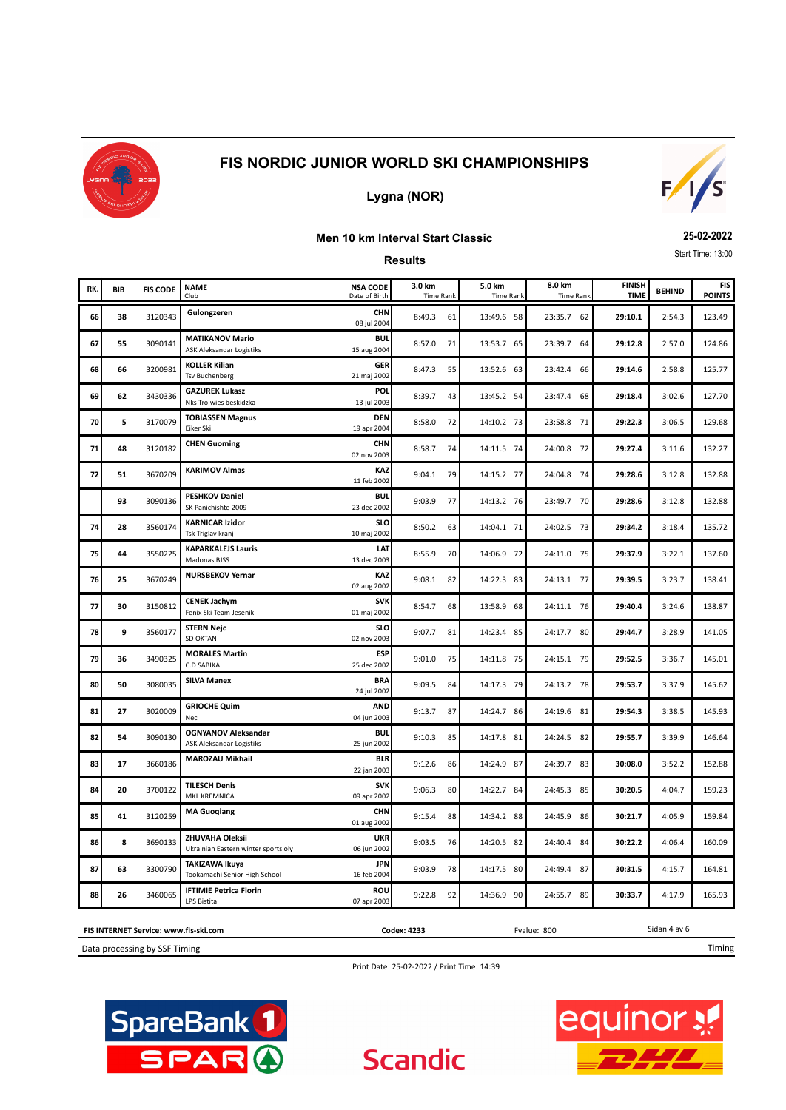

## **Lygna (NOR)**



#### **Men 10 km Interval Start Classic**

**Results**

**25-02-2022** Start Time: 13:00

| RK. | <b>BIB</b> | <b>FIS CODE</b> | <b>NAME</b><br>Club                                           | <b>NSA CODE</b><br>Date of Birth | 3.0 km<br><b>Time Rank</b> | 5.0 km<br><b>Time Rank</b> | 8.0 km<br><b>Time Rank</b> | <b>FINISH</b><br><b>TIME</b> | <b>BEHIND</b> | <b>FIS</b><br><b>POINTS</b> |
|-----|------------|-----------------|---------------------------------------------------------------|----------------------------------|----------------------------|----------------------------|----------------------------|------------------------------|---------------|-----------------------------|
| 66  | 38         | 3120343         | Gulongzeren                                                   | <b>CHN</b><br>08 jul 2004        | 8:49.3<br>61               | 13:49.6 58                 | 23:35.7<br>62              | 29:10.1                      | 2:54.3        | 123.49                      |
| 67  | 55         | 3090141         | <b>MATIKANOV Mario</b><br><b>ASK Aleksandar Logistiks</b>     | <b>BUL</b><br>15 aug 2004        | 8:57.0<br>71               | 13:53.7 65                 | 23:39.7<br>64              | 29:12.8                      | 2:57.0        | 124.86                      |
| 68  | 66         | 3200981         | <b>KOLLER Kilian</b><br><b>Tsv Buchenberg</b>                 | <b>GER</b><br>21 maj 2002        | 8:47.3<br>55               | 13:52.6 63                 | 23:42.4<br>66              | 29:14.6                      | 2:58.8        | 125.77                      |
| 69  | 62         | 3430336         | <b>GAZUREK Lukasz</b><br>Nks Trojwies beskidzka               | POL<br>13 jul 2003               | 8:39.7<br>43               | 13:45.2 54                 | 23:47.4<br>68              | 29:18.4                      | 3:02.6        | 127.70                      |
| 70  | 5          | 3170079         | <b>TOBIASSEN Magnus</b><br>Eiker Ski                          | <b>DEN</b><br>19 apr 2004        | 8:58.0<br>72               | 14:10.2 73                 | 23:58.8 71                 | 29:22.3                      | 3:06.5        | 129.68                      |
| 71  | 48         | 3120182         | <b>CHEN Guoming</b>                                           | <b>CHN</b><br>02 nov 2003        | 8:58.7<br>74               | 14:11.5 74                 | 24:00.8 72                 | 29:27.4                      | 3:11.6        | 132.27                      |
| 72  | 51         | 3670209         | <b>KARIMOV Almas</b>                                          | KAZ<br>11 feb 2002               | 9:04.1<br>79               | 14:15.2 77                 | 24:04.8 74                 | 29:28.6                      | 3:12.8        | 132.88                      |
|     | 93         | 3090136         | <b>PESHKOV Daniel</b><br>SK Panichishte 2009                  | <b>BUL</b><br>23 dec 2002        | 9:03.9<br>77               | 14:13.2 76                 | 23:49.7 70                 | 29:28.6                      | 3:12.8        | 132.88                      |
| 74  | 28         | 3560174         | <b>KARNICAR Izidor</b><br>Tsk Triglav kranj                   | <b>SLO</b><br>10 maj 2002        | 8:50.2<br>63               | 14:04.1 71                 | 24:02.5 73                 | 29:34.2                      | 3:18.4        | 135.72                      |
| 75  | 44         | 3550225         | <b>KAPARKALEJS Lauris</b><br>Madonas BJSS                     | LAT<br>13 dec 2003               | 8:55.9<br>70               | 14:06.9 72                 | 24:11.0 75                 | 29:37.9                      | 3:22.1        | 137.60                      |
| 76  | 25         | 3670249         | <b>NURSBEKOV Yernar</b>                                       | KAZ<br>02 aug 2002               | 9:08.1<br>82               | 14:22.3 83                 | 24:13.1 77                 | 29:39.5                      | 3:23.7        | 138.41                      |
| 77  | 30         | 3150812         | <b>CENEK Jachym</b><br>Fenix Ski Team Jesenik                 | <b>SVK</b><br>01 maj 2002        | 8:54.7<br>68               | 13:58.9 68                 | 24:11.1 76                 | 29:40.4                      | 3:24.6        | 138.87                      |
| 78  | 9          | 3560177         | <b>STERN Nejc</b><br><b>SD OKTAN</b>                          | <b>SLO</b><br>02 nov 2003        | 9:07.7<br>81               | 14:23.4 85                 | 24:17.7 80                 | 29:44.7                      | 3:28.9        | 141.05                      |
| 79  | 36         | 3490325         | <b>MORALES Martin</b><br>C.D SABIKA                           | <b>ESP</b><br>25 dec 2002        | 9:01.0<br>75               | 14:11.8 75                 | 24:15.1 79                 | 29:52.5                      | 3:36.7        | 145.01                      |
| 80  | 50         | 3080035         | <b>SILVA Manex</b>                                            | <b>BRA</b><br>24 jul 2002        | 9:09.5<br>84               | 14:17.3 79                 | 24:13.2 78                 | 29:53.7                      | 3:37.9        | 145.62                      |
| 81  | 27         | 3020009         | <b>GRIOCHE Quim</b><br>Nec                                    | <b>AND</b><br>04 jun 2003        | 87<br>9:13.7               | 14:24.7 86                 | 24:19.6<br>- 81            | 29:54.3                      | 3:38.5        | 145.93                      |
| 82  | 54         | 3090130         | <b>OGNYANOV Aleksandar</b><br><b>ASK Aleksandar Logistiks</b> | <b>BUL</b><br>25 jun 2002        | 9:10.3<br>85               | 14:17.8 81                 | 24:24.5<br>-82             | 29:55.7                      | 3:39.9        | 146.64                      |
| 83  | 17         | 3660186         | <b>MAROZAU Mikhail</b>                                        | <b>BLR</b><br>22 jan 2003        | 9:12.6<br>86               | 14:24.9 87                 | 24:39.7<br>- 83            | 30:08.0                      | 3:52.2        | 152.88                      |
| 84  | 20         | 3700122         | <b>TILESCH Denis</b><br>MKL KREMNICA                          | <b>SVK</b><br>09 apr 2002        | 9:06.3<br>80               | 14:22.7 84                 | 24:45.3<br>85              | 30:20.5                      | 4:04.7        | 159.23                      |
| 85  | 41         | 3120259         | <b>MA Guoqiang</b>                                            | <b>CHN</b><br>01 aug 2002        | 9:15.4<br>88               | 14:34.2 88                 | 24:45.9<br>86              | 30:21.7                      | 4:05.9        | 159.84                      |
| 86  | 8          | 3690133         | ZHUVAHA Oleksii<br>Ukrainian Eastern winter sports oly        | <b>UKR</b><br>06 jun 2002        | 9:03.5<br>76               | 14:20.5 82                 | 24:40.4<br>84              | 30:22.2                      | 4:06.4        | 160.09                      |
| 87  | 63         | 3300790         | <b>TAKIZAWA Ikuya</b><br>Tookamachi Senior High School        | <b>JPN</b><br>16 feb 2004        | 9:03.9<br>78               | 14:17.5 80                 | 24:49.4<br>87              | 30:31.5                      | 4:15.7        | 164.81                      |
| 88  | 26         | 3460065         | <b>IFTIMIE Petrica Florin</b><br>LPS Bistita                  | <b>ROU</b><br>07 apr 2003        | 9:22.8<br>92               | 14:36.9 90                 | 24:55.7<br>89              | 30:33.7                      | 4:17.9        | 165.93                      |

Data processing by SSF Timing **FIS INTERNET Service: www.fis-ski.com** **Codex: 4233** Fvalue: 800

**Scandic** 

Timing

Sidan 4 av 6

Print Date: 25-02-2022 / Print Time: 14:39



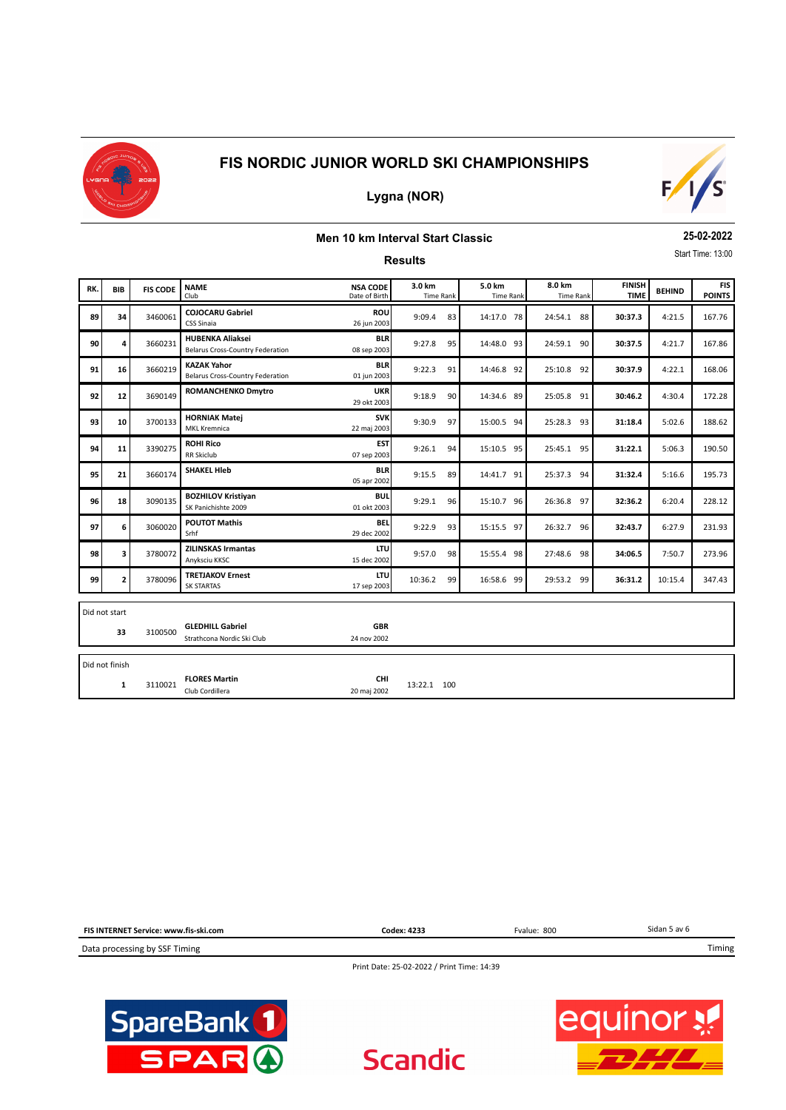

**Lygna (NOR)**

# $F/1/S$

## **Men 10 km Interval Start Classic**

**Results**

**25-02-2022** Start Time: 13:00

| RK. | <b>BIB</b>          | <b>FIS CODE</b> | <b>NAME</b><br>Club                                           | <b>NSA CODE</b><br>Date of Birth | 3.0 km<br><b>Time Rank</b> |    | 5.0 km<br><b>Time Rank</b> | 8.0 km<br><b>Time Rank</b> | <b>FINISH</b><br><b>TIME</b> | <b>BEHIND</b> | <b>FIS</b><br><b>POINTS</b> |  |  |  |
|-----|---------------------|-----------------|---------------------------------------------------------------|----------------------------------|----------------------------|----|----------------------------|----------------------------|------------------------------|---------------|-----------------------------|--|--|--|
| 89  | 34                  | 3460061         | <b>COJOCARU Gabriel</b><br>CSS Sinaia                         | <b>ROU</b><br>26 jun 2003        | 9:09.4                     | 83 | 14:17.0 78                 | 24:54.1 88                 | 30:37.3                      | 4:21.5        | 167.76                      |  |  |  |
| 90  | 4                   | 3660231         | <b>HUBENKA Aliaksei</b><br>Belarus Cross-Country Federation   | <b>BLR</b><br>08 sep 2003        | 9:27.8                     | 95 | 14:48.0 93                 | 24:59.1 90                 | 30:37.5                      | 4:21.7        | 167.86                      |  |  |  |
| 91  | 16                  | 3660219         | <b>KAZAK Yahor</b><br><b>Belarus Cross-Country Federation</b> | <b>BLR</b><br>01 jun 2003        | 9:22.3                     | 91 | 14:46.8 92                 | 25:10.8 92                 | 30:37.9                      | 4:22.1        | 168.06                      |  |  |  |
| 92  | $12$                | 3690149         | <b>ROMANCHENKO Dmytro</b>                                     | <b>UKR</b><br>29 okt 2003        | 9:18.9                     | 90 | 14:34.6 89                 | 25:05.8 91                 | 30:46.2                      | 4:30.4        | 172.28                      |  |  |  |
| 93  | 10                  | 3700133         | <b>HORNIAK Matei</b><br><b>MKL Kremnica</b>                   | <b>SVK</b><br>22 maj 2003        | 9:30.9                     | 97 | 15:00.5 94                 | 25:28.3 93                 | 31:18.4                      | 5:02.6        | 188.62                      |  |  |  |
| 94  | 11                  | 3390275         | <b>ROHI Rico</b><br><b>RR Skiclub</b>                         | <b>EST</b><br>07 sep 2003        | 9:26.1                     | 94 | 15:10.5 95                 | 25:45.1 95                 | 31:22.1                      | 5:06.3        | 190.50                      |  |  |  |
| 95  | 21                  | 3660174         | <b>SHAKEL HIeb</b>                                            | <b>BLR</b><br>05 apr 2002        | 9:15.5                     | 89 | 14:41.7 91                 | 25:37.3 94                 | 31:32.4                      | 5:16.6        | 195.73                      |  |  |  |
| 96  | 18                  | 3090135         | <b>BOZHILOV Kristiyan</b><br>SK Panichishte 2009              | <b>BUL</b><br>01 okt 2003        | 9:29.1                     | 96 | 15:10.7 96                 | 26:36.8 97                 | 32:36.2                      | 6:20.4        | 228.12                      |  |  |  |
| 97  | 6                   | 3060020         | <b>POUTOT Mathis</b><br>Srhf                                  | <b>BEL</b><br>29 dec 2002        | 9:22.9                     | 93 | 15:15.5 97                 | 26:32.7<br>96              | 32:43.7                      | 6:27.9        | 231.93                      |  |  |  |
| 98  | 3                   | 3780072         | <b>ZILINSKAS Irmantas</b><br>Anyksciu KKSC                    | LTU<br>15 dec 2002               | 9:57.0                     | 98 | 15:55.4 98                 | 27:48.6 98                 | 34:06.5                      | 7:50.7        | 273.96                      |  |  |  |
| 99  | 2 <sub>1</sub>      | 3780096         | <b>TRETJAKOV Ernest</b><br><b>SK STARTAS</b>                  | <b>LTU</b><br>17 sep 2003        | 10:36.2                    | 99 | 16:58.6 99                 | 29:53.2 99                 | 36:31.2                      | 10:15.4       | 347.43                      |  |  |  |
|     |                     |                 |                                                               |                                  |                            |    |                            |                            |                              |               |                             |  |  |  |
|     | Did not start<br>33 | 3100500         | <b>GLEDHILL Gabriel</b><br>Strathcona Nordic Ski Club         | <b>GBR</b><br>24 nov 2002        |                            |    |                            |                            |                              |               |                             |  |  |  |
|     | Did not finish      |                 |                                                               |                                  |                            |    |                            |                            |                              |               |                             |  |  |  |
|     | 1                   | 3110021         | <b>FLORES Martin</b><br>Club Cordillera                       | <b>CHI</b><br>20 maj 2002        | 13:22.1 100                |    |                            |                            |                              |               |                             |  |  |  |



**Scandic**